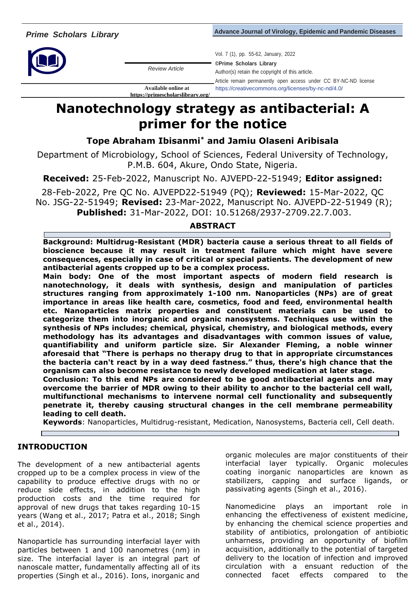*Advance Journal of Virology, Epidemic and Pandemic Diseases* 



*Review Article*

**<https://primescholarslibrary.org/>**

Vol. 7 (1), pp. 55-62, January, 2022

**©Prime Scholars Library** Author(s) retain the copyright of this article.

Article remain permanently open access under CC BY-NC-ND license **Available online at** https://creativecommons.org/licenses/by-nc-nd/4.0/

# **Nanotechnology strategy as antibacterial: A primer for the notice**

**Tope Abraham Ibisanmi\* and Jamiu Olaseni Aribisala** 

Department of Microbiology, School of Sciences, Federal University of Technology, P.M.B. 604, Akure, Ondo State, Nigeria.

**Received:** 25-Feb-2022, Manuscript No. AJVEPD-22-51949; **Editor assigned:** 

28-Feb-2022, Pre QC No. AJVEPD22-51949 (PQ); **Reviewed:** 15-Mar-2022, QC No. JSG-22-51949; **Revised:** 23-Mar-2022, Manuscript No. AJVEPD-22-51949 (R); **Published:** 31-Mar-2022, DOI: 10.51268/2937-2709.22.7.003.

## **ABSTRACT**

**Background: Multidrug-Resistant (MDR) bacteria cause a serious threat to all fields of bioscience because it may result in treatment failure which might have severe consequences, especially in case of critical or special patients. The development of new antibacterial agents cropped up to be a complex process.** 

**Main body: One of the most important aspects of modern field research is nanotechnology, it deals with synthesis, design and manipulation of particles structures ranging from approximately 1-100 nm. Nanoparticles (NPs) are of great importance in areas like health care, cosmetics, food and feed, environmental health etc. Nanoparticles matrix properties and constituent materials can be used to categorize them into inorganic and organic nanosystems. Techniques use within the synthesis of NPs includes; chemical, physical, chemistry, and biological methods, every methodology has its advantages and disadvantages with common issues of value, quantifiability and uniform particle size. Sir Alexander Fleming, a noble winner aforesaid that "There is perhaps no therapy drug to that in appropriate circumstances the bacteria can't react by in a way deed fastness." thus, there's high chance that the organism can also become resistance to newly developed medication at later stage. Conclusion: To this end NPs are considered to be good antibacterial agents and may overcome the barrier of MDR owing to their ability to anchor to the bacterial cell wall,** 

**multifunctional mechanisms to intervene normal cell functionality and subsequently penetrate it, thereby causing structural changes in the cell membrane permeability leading to cell death.** 

**Keywords**: Nanoparticles, Multidrug-resistant, Medication, Nanosystems, Bacteria cell, Cell death.

# **INTRODUCTION**

The development of a new antibacterial agents cropped up to be a complex process in view of the capability to produce effective drugs with no or reduce side effects, in addition to the high production costs and the time required for approval of new drugs that takes regarding 10-15 years (Wang et al., 2017; Patra et al., 2018; Singh et al., 2014).

Nanoparticle has surrounding interfacial layer with particles between 1 and 100 nanometres (nm) in size. The interfacial layer is an integral part of nanoscale matter, fundamentally affecting all of its properties (Singh et al., 2016). Ions, inorganic and

organic molecules are major constituents of their interfacial layer typically. Organic molecules coating inorganic nanoparticles are known as stabilizers, capping and surface ligands, or passivating agents (Singh et al., 2016).

Nanomedicine plays an important role in enhancing the effectiveness of existent medicine, by enhancing the chemical science properties and stability of antibiotics, prolongation of antibiotic unharness, providing an opportunity of biofilm acquisition, additionally to the potential of targeted delivery to the location of infection and improved circulation with a ensuant reduction of the connected facet effects compared to the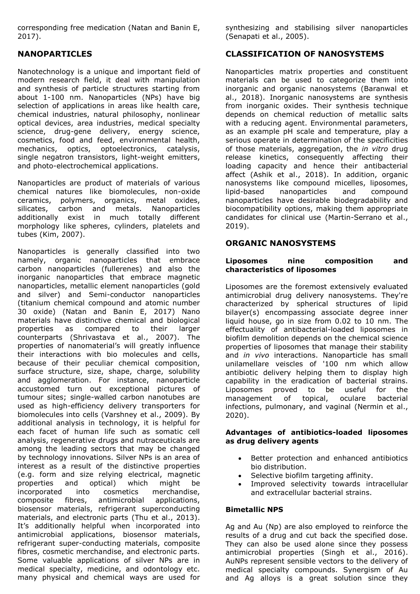corresponding free medication (Natan and Banin E, 2017).

## **NANOPARTICLES**

Nanotechnology is a unique and important field of modern research field, it deal with manipulation and synthesis of particle structures starting from about 1-100 nm. Nanoparticles (NPs) have big selection of applications in areas like health care, chemical industries, natural philosophy, nonlinear optical devices, area industries, medical specialty science, drug-gene delivery, energy science, cosmetics, food and feed, environmental health, mechanics, optics, optoelectronics, catalysis, single negatron transistors, light-weight emitters, and photo-electrochemical applications.

Nanoparticles are product of materials of various chemical natures like biomolecules, non-oxide ceramics, polymers, organics, metal oxides, silicates, carbon and metals. Nanoparticles additionally exist in much totally different morphology like spheres, cylinders, platelets and tubes (Kim, 2007).

Nanoparticles is generally classified into two namely, organic nanoparticles that embrace carbon nanoparticles (fullerenes) and also the inorganic nanoparticles that embrace magnetic nanoparticles, metallic element nanoparticles (gold and silver) and Semi-conductor nanoparticles (titanium chemical compound and atomic number 30 oxide) (Natan and Banin E, 2017) Nano materials have distinctive chemical and biological properties as compared to their larger counterparts (Shrivastava et al., 2007). The properties of nanomaterial's will greatly influence their interactions with bio molecules and cells, because of their peculiar chemical composition, surface structure, size, shape, charge, solubility and agglomeration. For instance, nanoparticle accustomed turn out exceptional pictures of tumour sites; single-walled carbon nanotubes are used as high-efficiency delivery transporters for biomolecules into cells (Varshney et al., 2009). By additional analysis in technology, it is helpful for each facet of human life such as somatic cell analysis, regenerative drugs and nutraceuticals are among the leading sectors that may be changed by technology innovations. Silver NPs is an area of interest as a result of the distinctive properties (e.g. form and size relying electrical, magnetic properties and optical) which might be incorporated into cosmetics merchandise, composite fibres, antimicrobial applications, biosensor materials, refrigerant superconducting materials, and electronic parts (Thu et al., 2013). It's additionally helpful when incorporated into antimicrobial applications, biosensor materials, refrigerant super-conducting materials, composite fibres, cosmetic merchandise, and electronic parts. Some valuable applications of silver NPs are in medical specialty, medicine, and odontology etc. many physical and chemical ways are used for

synthesizing and stabilising silver nanoparticles (Senapati et al., 2005).

#### **CLASSIFICATION OF NANOSYSTEMS**

Nanoparticles matrix properties and constituent materials can be used to categorize them into inorganic and organic nanosystems (Baranwal et al., 2018). Inorganic nanosystems are synthesis from inorganic oxides. Their synthesis technique depends on chemical reduction of metallic salts with a reducing agent. Environmental parameters, as an example pH scale and temperature, play a serious operate in determination of the specificities of those materials, aggregation, the *in vitro* drug release kinetics, consequently affecting their loading capacity and hence their antibacterial affect (Ashik et al., 2018). In addition, organic nanosystems like compound micelles, liposomes, lipid-based nanoparticles and compound nanoparticles have desirable biodegradability and biocompatibility options, making them appropriate candidates for clinical use (Martin-Serrano et al., 2019).

#### **ORGANIC NANOSYSTEMS**

#### **Liposomes nine composition and characteristics of liposomes**

Liposomes are the foremost extensively evaluated antimicrobial drug delivery nanosystems. They're characterized by spherical structures of lipid bilayer(s) encompassing associate degree inner liquid house, go in size from 0.02 to 10 nm. The effectuality of antibacterial-loaded liposomes in biofilm demolition depends on the chemical science properties of liposomes that manage their stability and *in vivo* interactions. Nanoparticle has small unilamellare veiscles of '100 nm which allow antibiotic delivery helping them to display high capability in the eradication of bacterial strains. Liposomes proved to be useful for the management of topical, oculare bacterial infections, pulmonary, and vaginal (Nermin et al., 2020).

#### **Advantages of antibiotics-loaded liposomes as drug delivery agents**

- Better protection and enhanced antibiotics bio distribution.
- Selective biofilm targeting affinity.
- Improved selectivity towards intracellular and extracellular bacterial strains.

#### **Bimetallic NPS**

Ag and Au (Np) are also employed to reinforce the results of a drug and cut back the specified dose. They can also be used alone since they possess antimicrobial properties (Singh et al., 2016). AuNPs represent sensible vectors to the delivery of medical specialty compounds. Synergism of Au and Ag alloys is a great solution since they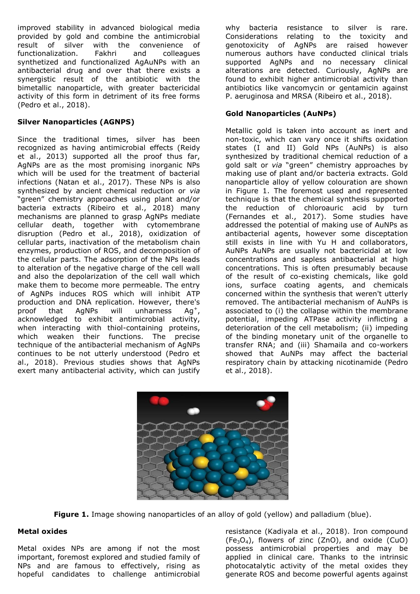improved stability in advanced biological media provided by gold and combine the antimicrobial result of silver with the convenience of functionalization. Fakhri and colleagues synthetized and functionalized AgAuNPs with an antibacterial drug and over that there exists a synergistic result of the antibiotic with the bimetallic nanoparticle, with greater bactericidal activity of this form in detriment of its free forms (Pedro et al., 2018).

#### **Silver Nanoparticles (AGNPS)**

Since the traditional times, silver has been recognized as having antimicrobial effects (Reidy et al., 2013) supported all the proof thus far, AgNPs are as the most promising inorganic NPs which will be used for the treatment of bacterial infections (Natan et al., 2017). These NPs is also synthesized by ancient chemical reduction or *via* "green" chemistry approaches using plant and/or bacteria extracts (Ribeiro et al., 2018) many mechanisms are planned to grasp AgNPs mediate cellular death, together with cytomembrane disruption (Pedro et al., 2018), oxidization of cellular parts, inactivation of the metabolism chain enzymes, production of ROS, and decomposition of the cellular parts. The adsorption of the NPs leads to alteration of the negative charge of the cell wall and also the depolarization of the cell wall which make them to become more permeable. The entry of AgNPs induces ROS which will inhibit ATP production and DNA replication. However, there's proof that AgNPs will unharness  $Ag^+$ , acknowledged to exhibit antimicrobial activity, when interacting with thiol-containing proteins, which weaken their functions. The precise technique of the antibacterial mechanism of AgNPs continues to be not utterly understood (Pedro et al., 2018). Previous studies shows that AgNPs exert many antibacterial activity, which can justify

why bacteria resistance to silver is rare. Considerations relating to the toxicity and genotoxicity of AgNPs are raised however numerous authors have conducted clinical trials supported AgNPs and no necessary clinical alterations are detected. Curiously, AgNPs are found to exhibit higher antimicrobial activity than antibiotics like vancomycin or gentamicin against P. aeruginosa and MRSA (Ribeiro et al., 2018).

## **Gold Nanoparticles (AuNPs)**

Metallic gold is taken into account as inert and non-toxic, which can vary once it shifts oxidation states (I and II) Gold NPs (AuNPs) is also synthesized by traditional chemical reduction of a gold salt or *via* "green" chemistry approaches by making use of plant and/or bacteria extracts. Gold nanoparticle alloy of yellow colouration are shown in Figure 1. The foremost used and represented technique is that the chemical synthesis supported the reduction of chloroauric acid by turn (Fernandes et al., 2017). Some studies have addressed the potential of making use of AuNPs as antibacterial agents, however some disceptation still exists in line with Yu H and collaborators, AuNPs AuNPs are usually not bactericidal at low concentrations and sapless antibacterial at high concentrations. This is often presumably because of the result of co-existing chemicals, like gold ions, surface coating agents, and chemicals concerned within the synthesis that weren't utterly removed. The antibacterial mechanism of AuNPs is associated to (i) the collapse within the membrane potential, impeding ATPase activity inflicting a deterioration of the cell metabolism; (ii) impeding of the binding monetary unit of the organelle to transfer RNA; and (iii) Shamaila and co-workers showed that AuNPs may affect the bacterial respiratory chain by attacking nicotinamide (Pedro et al., 2018).



**Figure 1.** Image showing nanoparticles of an alloy of gold (yellow) and palladium (blue).

#### **Metal oxides**

Metal oxides NPs are among if not the most important, foremost explored and studied family of NPs and are famous to effectively, rising as hopeful candidates to challenge antimicrobial resistance (Kadiyala et al., 2018). Iron compound  $(Fe<sub>3</sub>O<sub>4</sub>)$ , flowers of zinc (ZnO), and oxide (CuO) possess antimicrobial properties and may be applied in clinical care. Thanks to the intrinsic photocatalytic activity of the metal oxides they generate ROS and become powerful agents against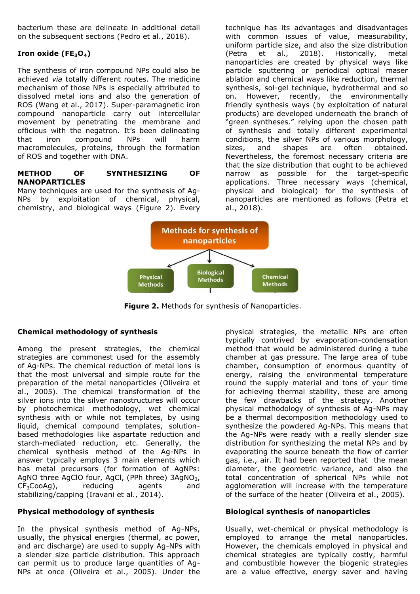bacterium these are delineate in additional detail on the subsequent sections (Pedro et al., 2018).

## **Iron oxide (FE3O4)**

The synthesis of iron compound NPs could also be achieved *via* totally different routes. The medicine mechanism of those NPs is especially attributed to dissolved metal ions and also the generation of ROS (Wang et al., 2017). Super-paramagnetic iron compound nanoparticle carry out intercellular movement by penetrating the membrane and officious with the negatron. It's been delineating that iron compound NPs will harm macromolecules, proteins, through the formation of ROS and together with DNA.

#### **METHOD OF SYNTHESIZING OF NANOPARTICLES**

Many techniques are used for the synthesis of Ag-NPs by exploitation of chemical, physical, chemistry, and biological ways (Figure 2). Every technique has its advantages and disadvantages with common issues of value, measurability, uniform particle size, and also the size distribution<br>(Petra et al., 2018). Historically, metal (Petra et al., 2018). Historically, metal nanoparticles are created by physical ways like particle sputtering or periodical optical maser ablation and chemical ways like reduction, thermal synthesis, sol-gel technique, hydrothermal and so on. However, recently, the environmentally friendly synthesis ways (by exploitation of natural products) are developed underneath the branch of "green syntheses." relying upon the chosen path of synthesis and totally different experimental conditions, the silver NPs of various morphology, sizes, and shapes are often obtained. Nevertheless, the foremost necessary criteria are that the size distribution that ought to be achieved narrow as possible for the target-specific applications. Three necessary ways (chemical, physical and biological) for the synthesis of nanoparticles are mentioned as follows (Petra et al., 2018).



**Figure 2.** Methods for synthesis of Nanoparticles.

#### **Chemical methodology of synthesis**

Among the present strategies, the chemical strategies are commonest used for the assembly of Ag-NPs. The chemical reduction of metal ions is that the most universal and simple route for the preparation of the metal nanoparticles (Oliveira et al., 2005). The chemical transformation of the silver ions into the silver nanostructures will occur by photochemical methodology, wet chemical synthesis with or while not templates, by using liquid, chemical compound templates, solutionbased methodologies like aspartate reduction and starch-mediated reduction, etc. Generally, the chemical synthesis method of the Ag-NPs in answer typically employs 3 main elements which has metal precursors (for formation of AgNPs: AgNO three AgClO four, AgCl, (PPh three)  $3AgNO<sub>3</sub>$ ,  $CF<sub>3</sub>CooAg$ , reducing agents and stabilizing/capping (Iravani et al., 2014).

#### **Physical methodology of synthesis**

In the physical synthesis method of Ag-NPs, usually, the physical energies (thermal, ac power, and arc discharge) are used to supply Ag-NPs with a slender size particle distribution. This approach can permit us to produce large quantities of Ag-NPs at once (Oliveira et al., 2005). Under the

physical strategies, the metallic NPs are often typically contrived by evaporation-condensation method that would be administered during a tube chamber at gas pressure. The large area of tube chamber, consumption of enormous quantity of energy, raising the environmental temperature round the supply material and tons of your time for achieving thermal stability, these are among the few drawbacks of the strategy. Another physical methodology of synthesis of Ag-NPs may be a thermal decomposition methodology used to synthesize the powdered Ag-NPs. This means that the Ag-NPs were ready with a really slender size distribution for synthesizing the metal NPs and by evaporating the source beneath the flow of carrier gas, i.e., air. It had been reported that the mean diameter, the geometric variance, and also the total concentration of spherical NPs while not agglomeration will increase with the temperature of the surface of the heater (Oliveira et al., 2005).

#### **Biological synthesis of nanoparticles**

Usually, wet-chemical or physical methodology is employed to arrange the metal nanoparticles. However, the chemicals employed in physical and chemical strategies are typically costly, harmful and combustible however the biogenic strategies are a value effective, energy saver and having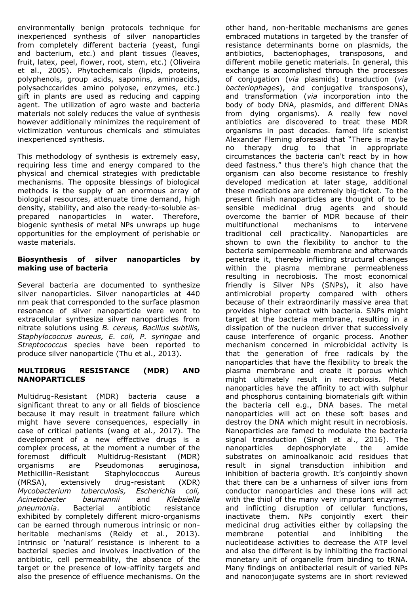environmentally benign protocols technique for inexperienced synthesis of silver nanoparticles from completely different bacteria (yeast, fungi and bacterium, etc.) and plant tissues (leaves, fruit, latex, peel, flower, root, stem, etc.) (Oliveira et al., 2005). Phytochemicals (lipids, proteins, polyphenols, group acids, saponins, aminoacids, polysachccarides amino polyose, enzymes, etc.) gift in plants are used as reducing and capping agent. The utilization of agro waste and bacteria materials not solely reduces the value of synthesis however additionally minimizes the requirement of victimization venturous chemicals and stimulates inexperienced synthesis.

This methodology of synthesis is extremely easy, requiring less time and energy compared to the physical and chemical strategies with predictable mechanisms. The opposite blessings of biological methods is the supply of an enormous array of biological resources, attenuate time demand, high density, stability, and also the ready-to-soluble asprepared nanoparticles in water. Therefore, biogenic synthesis of metal NPs unwraps up huge opportunities for the employment of perishable or waste materials.

#### **Biosynthesis of silver nanoparticles by making use of bacteria**

Several bacteria are documented to synthesize silver nanoparticles. Silver nanoparticles at 440 nm peak that corresponded to the surface plasmon resonance of silver nanoparticle were wont to extracellular synthesize silver nanoparticles from nitrate solutions using *B. cereus, Bacillus subtilis, Staphylococcus aureus, E. coli, P. syringae* and *Streptococcus* species have been reported to produce silver nanoparticle (Thu et al., 2013).

#### **MULTIDRUG RESISTANCE (MDR) AND NANOPARTICLES**

Multidrug-Resistant (MDR) bacteria cause a significant threat to any or all fields of bioscience because it may result in treatment failure which might have severe consequences, especially in case of critical patients (wang et al., 2017). The development of a new efffective drugs is a complex process, at the moment a number of the foremost difficult Multidrug-Resistant (MDR) organisms are Pseudomonas aeruginosa, Methicillin-Resistant Staphylococcus Aureus (MRSA), extensively drug-resistant (XDR) *Mycobacterium tuberculosis, Escherichia coli, Acinetobacter baumannii* and *Klebsiella pneumonia*. Bacterial antibiotic resistance exhibited by completely different micro-organisms can be earned through numerous intrinsic or nonheritable mechanisms (Reidy et al., 2013). Intrinsic or 'natural' resistance is inherent to a bacterial species and involves inactivation of the antibiotic, cell permeability, the absence of the target or the presence of low-affinity targets and also the presence of effluence mechanisms. On the

other hand, non-heritable mechanisms are genes embraced mutations in targeted by the transfer of resistance determinants borne on plasmids, the antibiotics, bacteriophages, transposons, and different mobile genetic materials. In general, this exchange is accomplished through the processes of conjugation (*via* plasmids) transduction (*via bacteriophages*), and conjugative transposons), and transformation (*via* incorporation into the body of body DNA, plasmids, and different DNAs from dying organisms). A really few novel antibiotics are discovered to treat these MDR organisms in past decades. famed life scientist Alexander Fleming aforesaid that "There is maybe no therapy drug to that in appropriate circumstances the bacteria can't react by in how deed fastness." thus there's high chance that the organism can also become resistance to freshly developed medication at later stage, additional these medications are extremely big-ticket. To the present finish nanoparticles are thought of to be sensible medicinal drug agents and should overcome the barrier of MDR because of their multifunctional mechanisms to intervene traditional cell practicality. Nanoparticles are shown to own the flexibility to anchor to the bacteria semipermeable membrane and afterwards penetrate it, thereby inflicting structural changes within the plasma membrane permeableness resulting in necrobiosis. The most economical friendly is Silver NPs (SNPs), it also have antimicrobial property compared with others because of their extraordinarily massive area that provides higher contact with bacteria. SNPs might target at the bacteria membrane, resulting in a dissipation of the nucleon driver that successively cause interference of organic process. Another mechanism concerned in microbicidal activity is that the generation of free radicals by the nanoparticles that have the flexibility to break the plasma membrane and create it porous which might ultimately result in necrobiosis. Metal nanoparticles have the affinity to act with sulphur and phosphorus containing biomaterials gift within the bacteria cell e.g., DNA bases. The metal nanoparticles will act on these soft bases and destroy the DNA which might result in necrobiosis. Nanoparticles are famed to modulate the bacteria signal transduction (Singh et al., 2016). The nanoparticles dephosphorylate the amide substrates on aminoalkanoic acid residues that result in signal transduction inhibition and inhibition of bacteria growth. It's conjointly shown that there can be a unharness of silver ions from conductor nanoparticles and these ions will act with the thiol of the many very important enzymes and inflicting disruption of cellular functions, inactivate them. NPs conjointly exert their medicinal drug activities either by collapsing the membrane potential and inhibiting the nucleotidease activities to decrease the ATP level and also the different is by inhibiting the fractional monetary unit of organelle from binding to tRNA. Many findings on antibacterial result of varied NPs and nanoconjugate systems are in short reviewed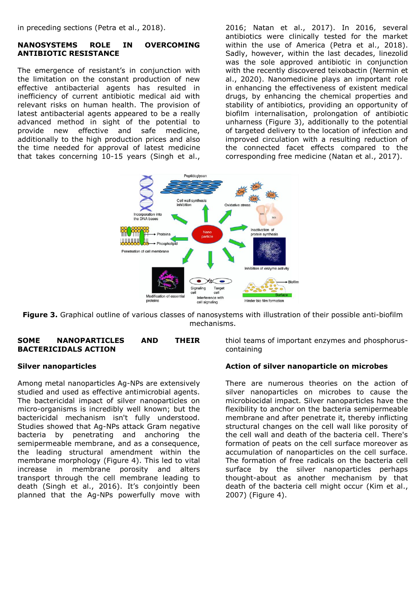in preceding sections (Petra et al., 2018).

#### **NANOSYSTEMS ROLE IN OVERCOMING ANTIBIOTIC RESISTANCE**

The emergence of resistant's in conjunction with the limitation on the constant production of new effective antibacterial agents has resulted in inefficiency of current antibiotic medical aid with relevant risks on human health. The provision of latest antibacterial agents appeared to be a really advanced method in sight of the potential to provide new effective and safe medicine, additionally to the high production prices and also the time needed for approval of latest medicine that takes concerning 10-15 years (Singh et al.,

2016; Natan et al., 2017). In 2016, several antibiotics were clinically tested for the market within the use of America (Petra et al., 2018). Sadly, however, within the last decades, linezolid was the sole approved antibiotic in conjunction with the recently discovered teixobactin (Nermin et al., 2020). Nanomedicine plays an important role in enhancing the effectiveness of existent medical drugs, by enhancing the chemical properties and stability of antibiotics, providing an opportunity of biofilm internalisation, prolongation of antibiotic unharness (Figure 3), additionally to the potential of targeted delivery to the location of infection and improved circulation with a resulting reduction of the connected facet effects compared to the corresponding free medicine (Natan et al., 2017).



**Figure 3.** Graphical outline of various classes of nanosystems with illustration of their possible anti-biofilm mechanisms.

#### **SOME NANOPARTICLES AND THEIR BACTERICIDALS ACTION**

#### **Silver nanoparticles**

Among metal nanoparticles Ag-NPs are extensively studied and used as effective antimicrobial agents. The bactericidal impact of silver nanoparticles on micro-organisms is incredibly well known; but the bactericidal mechanism isn't fully understood. Studies showed that Ag-NPs attack Gram negative bacteria by penetrating and anchoring the semipermeable membrane, and as a consequence, the leading structural amendment within the membrane morphology (Figure 4). This led to vital increase in membrane porosity and alters transport through the cell membrane leading to death (Singh et al., 2016). It's conjointly been planned that the Ag-NPs powerfully move with thiol teams of important enzymes and phosphoruscontaining

#### **Action of silver nanoparticle on microbes**

There are numerous theories on the action of silver nanoparticles on microbes to cause the microbiocidal impact. Silver nanoparticles have the flexibility to anchor on the bacteria semipermeable membrane and after penetrate it, thereby inflicting structural changes on the cell wall like porosity of the cell wall and death of the bacteria cell. There's formation of peats on the cell surface moreover as accumulation of nanoparticles on the cell surface. The formation of free radicals on the bacteria cell surface by the silver nanoparticles perhaps thought-about as another mechanism by that death of the bacteria cell might occur (Kim et al., 2007) (Figure 4).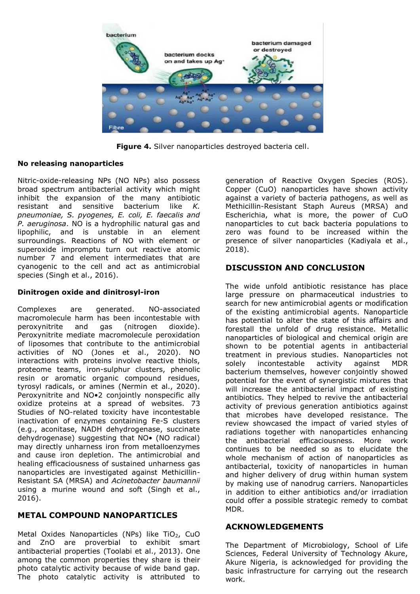

**Figure 4.** Silver nanoparticles destroyed bacteria cell.

### **No releasing nanoparticles**

Nitric-oxide-releasing NPs (NO NPs) also possess broad spectrum antibacterial activity which might inhibit the expansion of the many antibiotic resistant and sensitive bacterium like *K. pneumoniae, S. pyogenes, E. coli, E. faecalis and P. aeruginosa*. NO is a hydrophilic natural gas and lipophilic, and is unstable in an element surroundings. Reactions of NO with element or superoxide impromptu turn out reactive atomic number 7 and element intermediates that are cyanogenic to the cell and act as antimicrobial species (Singh et al., 2016).

#### **Dinitrogen oxide and dinitrosyl-iron**

Complexes are generated. NO-associated macromolecule harm has been incontestable with peroxynitrite and gas (nitrogen dioxide). Peroxynitrite mediate macromolecule peroxidation of liposomes that contribute to the antimicrobial activities of NO (Jones et al., 2020). NO interactions with proteins involve reactive thiols, proteome teams, iron-sulphur clusters, phenolic resin or aromatic organic compound residues, tyrosyl radicals, or amines (Nermin et al., 2020). Peroxynitrite and NO•2 conjointly nonspecific ally oxidize proteins at a spread of websites. 73 Studies of NO-related toxicity have incontestable inactivation of enzymes containing Fe-S clusters (e.g., aconitase, NADH dehydrogenase, succinate dehydrogenase) suggesting that NO• (NO radical) may directly unharness iron from metalloenzymes and cause iron depletion. The antimicrobial and healing efficaciousness of sustained unharness gas nanoparticles are investigated against Methicillin-Resistant SA (MRSA) and *Acinetobacter baumannii* using a murine wound and soft (Singh et al., 2016).

## **METAL COMPOUND NANOPARTICLES**

Metal Oxides Nanoparticles (NPs) like TiO<sub>2</sub>, CuO and ZnO are proverbial to exhibit smart antibacterial properties (Toolabi et al., 2013). One among the common properties they share is their photo catalytic activity because of wide band gap. The photo catalytic activity is attributed to

generation of Reactive Oxygen Species (ROS). Copper (CuO) nanoparticles have shown activity against a variety of bacteria pathogens, as well as Methicillin-Resistant Staph Aureus (MRSA) and Escherichia, what is more, the power of CuO nanoparticles to cut back bacteria populations to zero was found to be increased within the presence of silver nanoparticles (Kadiyala et al., 2018).

# **DISCUSSION AND CONCLUSION**

The wide unfold antibiotic resistance has place large pressure on pharmaceutical industries to search for new antimicrobial agents or modification of the existing antimicrobial agents. Nanoparticle has potential to alter the state of this affairs and forestall the unfold of drug resistance. Metallic nanoparticles of biological and chemical origin are shown to be potential agents in antibacterial treatment in previous studies. Nanoparticles not solely incontestable activity against MDR bacterium themselves, however conjointly showed potential for the event of synergistic mixtures that will increase the antibacterial impact of existing antibiotics. They helped to revive the antibacterial activity of previous generation antibiotics against that microbes have developed resistance. The review showcased the impact of varied styles of radiations together with nanoparticles enhancing the antibacterial efficaciousness. More work continues to be needed so as to elucidate the whole mechanism of action of nanoparticles as antibacterial, toxicity of nanoparticles in human and higher delivery of drug within human system by making use of nanodrug carriers. Nanoparticles in addition to either antibiotics and/or irradiation could offer a possible strategic remedy to combat MDR.

## **ACKNOWLEDGEMENTS**

The Department of Microbiology, School of Life Sciences, Federal University of Technology Akure, Akure Nigeria, is acknowledged for providing the basic infrastructure for carrying out the research work.